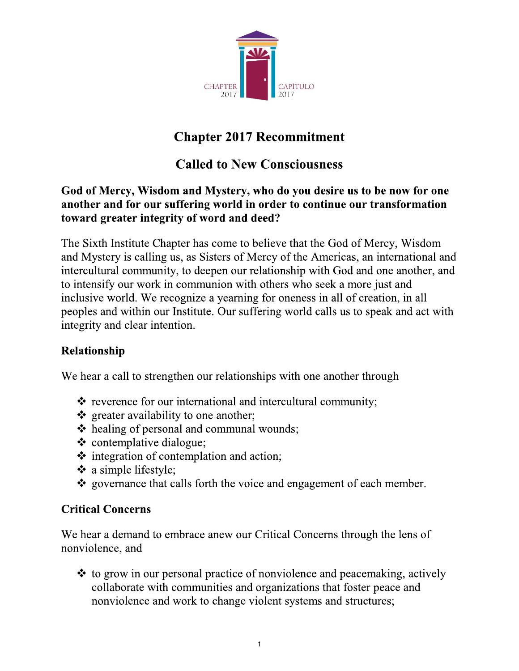

# **Chapter 2017 Recommitment**

# **Called to New Consciousness**

## God of Mercy, Wisdom and Mystery, who do you desire us to be now for one another and for our suffering world in order to continue our transformation toward greater integrity of word and deed?

The Sixth Institute Chapter has come to believe that the God of Mercy, Wisdom and Mystery is calling us, as Sisters of Mercy of the Americas, an international and intercultural community, to deepen our relationship with God and one another, and to intensify our work in communion with others who seek a more just and inclusive world. We recognize a yearning for oneness in all of creation, in all peoples and within our Institute. Our suffering world calls us to speak and act with integrity and clear intention.

## **Relationship**

We hear a call to strengthen our relationships with one another through

- ❖ reverence for our international and intercultural community;
- ❖ greater availability to one another;
- ❖ healing of personal and communal wounds;
- $\div$  contemplative dialogue;
- integration of contemplation and action;
- ❖ a simple lifestyle;
- \* governance that calls forth the voice and engagement of each member.

## **Critical Concerns**

We hear a demand to embrace anew our Critical Concerns through the lens of nonviolence, and

 $\div$  to grow in our personal practice of nonviolence and peacemaking, actively collaborate with communities and organizations that foster peace and nonviolence and work to change violent systems and structures;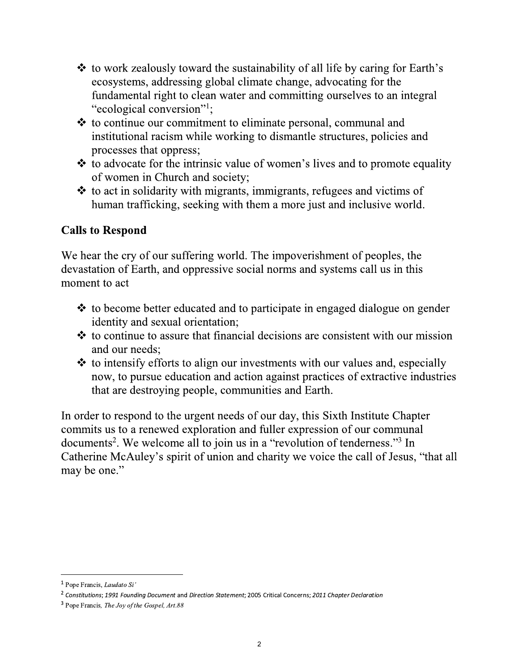- ❖ to work zealously toward the sustainability of all life by caring for Earth's ecosystems, addressing global climate change, advocating for the fundamental right to clean water and committing ourselves to an integral "ecological conversion"!;
- ❖ to continue our commitment to eliminate personal, communal and institutional racism while working to dismantle structures, policies and processes that oppress;
- ❖ to advocate for the intrinsic value of women's lives and to promote equality of women in Church and society;
- ❖ to act in solidarity with migrants, immigrants, refugees and victims of human trafficking, seeking with them a more just and inclusive world.

## **Calls to Respond**

We hear the cry of our suffering world. The impoverishment of peoples, the devastation of Earth, and oppressive social norms and systems call us in this moment to act

- $\div$  to become better educated and to participate in engaged dialogue on gender identity and sexual orientation;
- $\div$  to continue to assure that financial decisions are consistent with our mission and our needs:
- ❖ to intensify efforts to align our investments with our values and, especially now, to pursue education and action against practices of extractive industries that are destroying people, communities and Earth.

In order to respond to the urgent needs of our day, this Sixth Institute Chapter commits us to a renewed exploration and fuller expression of our communal documents<sup>2</sup>. We welcome all to join us in a "revolution of tenderness."<sup>3</sup> In Catherine McAuley's spirit of union and charity we voice the call of Jesus, "that all may be one."

<sup>&</sup>lt;sup>1</sup> Pope Francis, *Laudato Si'* 

 $^2$  Constitutions; 1991 Founding Document and Direction Statement; 2005 Critical Concerns; 2011 Chapter Declaration

<sup>&</sup>lt;sup>3</sup> Pope Francis, *The Joy of the Gospel*, *Art.88*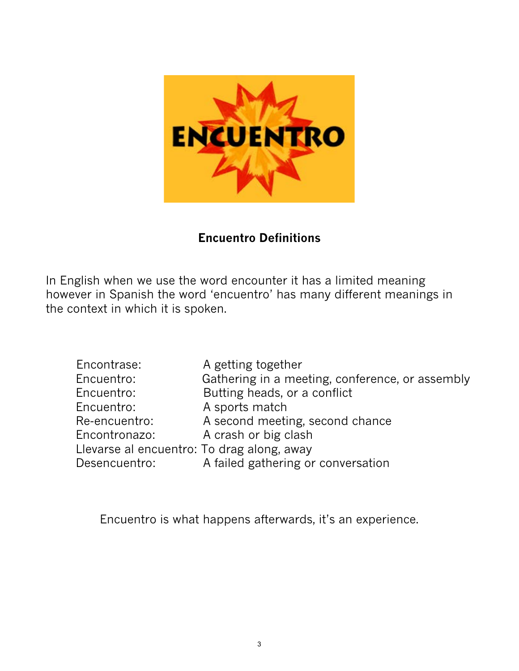

## **Encuentro Definitions**

In English when we use the word encounter it has a limited meaning however in Spanish the word 'encuentro' has many different meanings in the context in which it is spoken.

| Encontrase:                                | A getting together                              |
|--------------------------------------------|-------------------------------------------------|
| Encuentro:                                 | Gathering in a meeting, conference, or assembly |
| Encuentro:                                 | Butting heads, or a conflict                    |
| Encuentro:                                 | A sports match                                  |
| Re-encuentro:                              | A second meeting, second chance                 |
| Encontronazo:                              | A crash or big clash                            |
| Llevarse al encuentro: To drag along, away |                                                 |
| Desencuentro:                              | A failed gathering or conversation              |

Encuentro is what happens afterwards, it's an experience.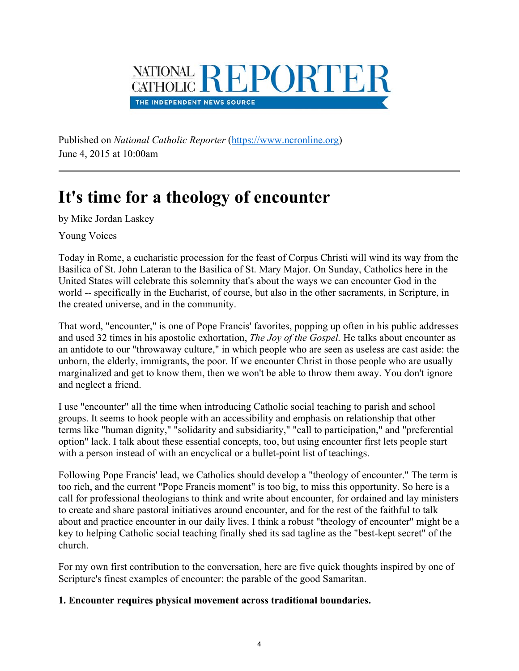

Published on *National Catholic Reporter* (https://www.ncronline.org) June 4, 2015 at 10:00am

# **It's time for a theology of encounter**

by Mike Jordan Laskey

Young Voices

Today in Rome, a eucharistic procession for the feast of Corpus Christi will wind its way from the Basilica of St. John Lateran to the Basilica of St. Mary Major. On Sunday, Catholics here in the United States will celebrate this solemnity that's about the ways we can encounter God in the world -- specifically in the Eucharist, of course, but also in the other sacraments, in Scripture, in the created universe, and in the community.

That word, "encounter," is one of Pope Francis' favorites, popping up often in his public addresses and used 32 times in his apostolic exhortation, *The Joy of the Gospel.* He talks about encounter as an antidote to our "throwaway culture," in which people who are seen as useless are cast aside: the unborn, the elderly, immigrants, the poor. If we encounter Christ in those people who are usually marginalized and get to know them, then we won't be able to throw them away. You don't ignore and neglect a friend.

I use "encounter" all the time when introducing Catholic social teaching to parish and school groups. It seems to hook people with an accessibility and emphasis on relationship that other terms like "human dignity," "solidarity and subsidiarity," "call to participation," and "preferential option" lack. I talk about these essential concepts, too, but using encounter first lets people start with a person instead of with an encyclical or a bullet-point list of teachings.

Following Pope Francis' lead, we Catholics should develop a "theology of encounter." The term is too rich, and the current "Pope Francis moment" is too big, to miss this opportunity. So here is a call for professional theologians to think and write about encounter, for ordained and lay ministers to create and share pastoral initiatives around encounter, and for the rest of the faithful to talk about and practice encounter in our daily lives. I think a robust "theology of encounter" might be a key to helping Catholic social teaching finally shed its sad tagline as the "best-kept secret" of the church.

For my own first contribution to the conversation, here are five quick thoughts inspired by one of Scripture's finest examples of encounter: the parable of the good Samaritan.

## **1. Encounter requires physical movement across traditional boundaries.**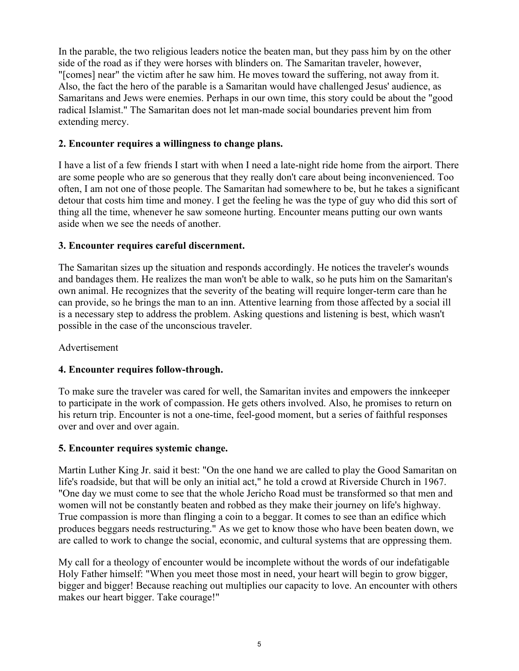In the parable, the two religious leaders notice the beaten man, but they pass him by on the other side of the road as if they were horses with blinders on. The Samaritan traveler, however, "[comes] near" the victim after he saw him. He moves toward the suffering, not away from it. Also, the fact the hero of the parable is a Samaritan would have challenged Jesus' audience, as Samaritans and Jews were enemies. Perhaps in our own time, this story could be about the "good radical Islamist." The Samaritan does not let man-made social boundaries prevent him from extending mercy.

## **2. Encounter requires a willingness to change plans.**

I have a list of a few friends I start with when I need a late-night ride home from the airport. There are some people who are so generous that they really don't care about being inconvenienced. Too often, I am not one of those people. The Samaritan had somewhere to be, but he takes a significant detour that costs him time and money. I get the feeling he was the type of guy who did this sort of thing all the time, whenever he saw someone hurting. Encounter means putting our own wants aside when we see the needs of another.

#### **3. Encounter requires careful discernment.**

The Samaritan sizes up the situation and responds accordingly. He notices the traveler's wounds and bandages them. He realizes the man won't be able to walk, so he puts him on the Samaritan's own animal. He recognizes that the severity of the beating will require longer-term care than he can provide, so he brings the man to an inn. Attentive learning from those affected by a social ill is a necessary step to address the problem. Asking questions and listening is best, which wasn't possible in the case of the unconscious traveler.

#### Advertisement

## **4. Encounter requires follow-through.**

To make sure the traveler was cared for well, the Samaritan invites and empowers the innkeeper to participate in the work of compassion. He gets others involved. Also, he promises to return on his return trip. Encounter is not a one-time, feel-good moment, but a series of faithful responses over and over and over again.

#### **5. Encounter requires systemic change.**

Martin Luther King Jr. said it best: "On the one hand we are called to play the Good Samaritan on life's roadside, but that will be only an initial act," he told a crowd at Riverside Church in 1967. "One day we must come to see that the whole Jericho Road must be transformed so that men and women will not be constantly beaten and robbed as they make their journey on life's highway. True compassion is more than flinging a coin to a beggar. It comes to see than an edifice which produces beggars needs restructuring." As we get to know those who have been beaten down, we are called to work to change the social, economic, and cultural systems that are oppressing them.

My call for a theology of encounter would be incomplete without the words of our indefatigable Holy Father himself: "When you meet those most in need, your heart will begin to grow bigger, bigger and bigger! Because reaching out multiplies our capacity to love. An encounter with others makes our heart bigger. Take courage!"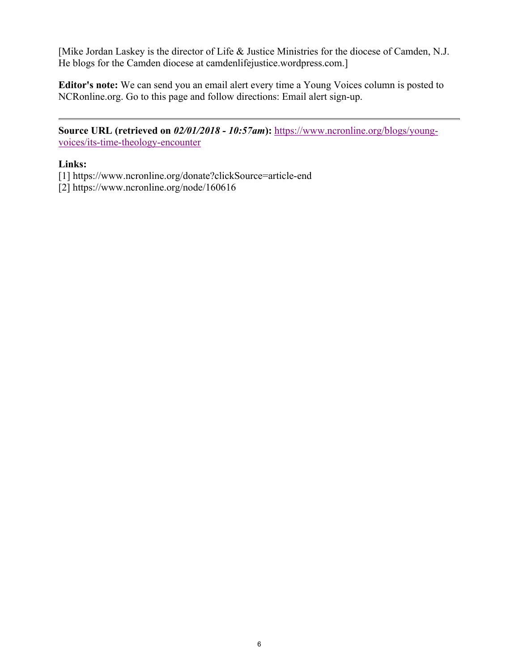[Mike Jordan Laskey is the director of Life & Justice Ministries for the diocese of Camden, N.J. He blogs for the Camden diocese at camdenlifejustice.wordpress.com.]

**Editor's note:** We can send you an email alert every time a Young Voices column is posted to NCRonline.org. Go to this page and follow directions: Email alert sign-up.

**Source URL (retrieved on** *02/01/2018 - 10:57am***):** https://www.ncronline.org/blogs/youngvoices/its-time-theology-encounter

## **Links:**

- [1] https://www.ncronline.org/donate?clickSource=article-end
- [2] https://www.ncronline.org/node/160616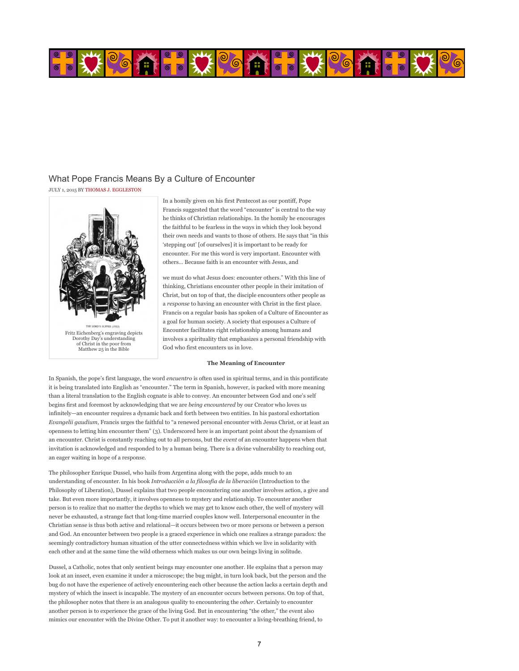

#### What Pope Francis Means By a Culture of Encounter

JULY 1, 2015 BY THOMAS J. EGGLESTON



In a homily given on his first Pentecost as our pontiff, Pope Francis suggested that the word "encounter" is central to the way he thinks of Christian relationships. In the homily he encourages the faithful to be fearless in the ways in which they look beyond their own needs and wants to those of others. He says that "in this 'stepping out' [of ourselves] it is important to be ready for encounter. For me this word is very important. Encounter with others… Because faith is an encounter with Jesus, and

we must do what Jesus does: encounter others." With this line of thinking, Christians encounter other people in their imitation of Christ, but on top of that, the disciple encounters other people as a *response* to having an encounter with Christ in the first place. Francis on a regular basis has spoken of a Culture of Encounter as a goal for human society. A society that espouses a Culture of Encounter facilitates right relationship among humans and involves a spirituality that emphasizes a personal friendship with God who first encounters us in love.

#### **The Meaning of Encounter**

In Spanish, the pope's first language, the word *encuentro* is often used in spiritual terms, and in this pontificate it is being translated into English as "encounter." The term in Spanish, however, is packed with more meaning than a literal translation to the English cognate is able to convey. An encounter between God and one's self begins first and foremost by acknowledging that we are *being encountered* by our Creator who loves us infinitely—an encounter requires a dynamic back and forth between two entities. In his pastoral exhortation *Evangelii gaudium*, Francis urges the faithful to "a renewed personal encounter with Jesus Christ, or at least an openness to letting him encounter them" (3). Underscored here is an important point about the dynamism of an encounter. Christ is constantly reaching out to all persons, but the *event* of an encounter happens when that invitation is acknowledged and responded to by a human being. There is a divine vulnerability to reaching out, an eager waiting in hope of a response.

The philosopher Enrique Dussel, who hails from Argentina along with the pope, adds much to an understanding of encounter. In his book *Introducción a la filosofía de la liberación* (Introduction to the Philosophy of Liberation), Dussel explains that two people encountering one another involves action, a give and take. But even more importantly, it involves openness to mystery and relationship. To encounter another person is to realize that no matter the depths to which we may get to know each other, the well of mystery will never be exhausted, a strange fact that long-time married couples know well. Interpersonal encounter in the Christian sense is thus both active and relational—it occurs between two or more persons or between a person and God. An encounter between two people is a graced experience in which one realizes a strange paradox: the seemingly contradictory human situation of the utter connectedness within which we live in solidarity with each other and at the same time the wild otherness which makes us our own beings living in solitude.

Dussel, a Catholic, notes that only sentient beings may encounter one another. He explains that a person may look at an insect, even examine it under a microscope; the bug might, in turn look back, but the person and the bug do not have the experience of actively encountering each other because the action lacks a certain depth and mystery of which the insect is incapable. The mystery of an encounter occurs between persons. On top of that, the philosopher notes that there is an analogous quality to encountering the *other*. Certainly to encounter another person is to experience the grace of the living God. But in encountering "the other," the event also mimics our encounter with the Divine Other. To put it another way: to encounter a living-breathing friend, to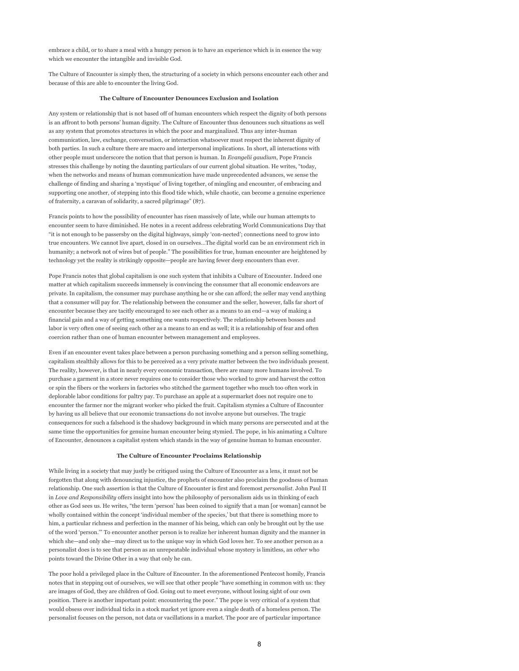embrace a child, or to share a meal with a hungry person is to have an experience which is in essence the way which we encounter the intangible and invisible God.

The Culture of Encounter is simply then, the structuring of a society in which persons encounter each other and because of this are able to encounter the living God.

#### **The Culture of Encounter Denounces Exclusion and Isolation**

Any system or relationship that is not based off of human encounters which respect the dignity of both persons is an affront to both persons' human dignity. The Culture of Encounter thus denounces such situations as well as any system that promotes structures in which the poor and marginalized. Thus any inter-human communication, law, exchange, conversation, or interaction whatsoever must respect the inherent dignity of both parties. In such a culture there are macro and interpersonal implications. In short, all interactions with other people must underscore the notion that that person is human. In *Evangelii gaudium*, Pope Francis stresses this challenge by noting the daunting particulars of our current global situation. He writes, "today, when the networks and means of human communication have made unprecedented advances, we sense the challenge of finding and sharing a 'mystique' of living together, of mingling and encounter, of embracing and supporting one another, of stepping into this flood tide which, while chaotic, can become a genuine experience of fraternity, a caravan of solidarity, a sacred pilgrimage" (87).

Francis points to how the possibility of encounter has risen massively of late, while our human attempts to encounter seem to have diminished. He notes in a recent address celebrating World Communications Day that "it is not enough to be passersby on the digital highways, simply 'con-nected'; connections need to grow into true encounters. We cannot live apart, closed in on ourselves…The digital world can be an environment rich in humanity; a network not of wires but of people." The possibilities for true, human encounter are heightened by technology yet the reality is strikingly opposite—people are having fewer deep encounters than ever.

Pope Francis notes that global capitalism is one such system that inhibits a Culture of Encounter. Indeed one matter at which capitalism succeeds immensely is convincing the consumer that all economic endeavors are private. In capitalism, the consumer may purchase anything he or she can afford; the seller may vend anything that a consumer will pay for. The relationship between the consumer and the seller, however, falls far short of encounter because they are tacitly encouraged to see each other as a means to an end—a way of making a financial gain and a way of getting something one wants respectively. The relationship between bosses and labor is very often one of seeing each other as a means to an end as well; it is a relationship of fear and often coercion rather than one of human encounter between management and employees.

Even if an encounter event takes place between a person purchasing something and a person selling something, capitalism stealthily allows for this to be perceived as a very private matter between the two individuals present. The reality, however, is that in nearly every economic transaction, there are many more humans involved. To purchase a garment in a store never requires one to consider those who worked to grow and harvest the cotton or spin the fibers or the workers in factories who stitched the garment together who much too often work in deplorable labor conditions for paltry pay. To purchase an apple at a supermarket does not require one to encounter the farmer nor the migrant worker who picked the fruit. Capitalism stymies a Culture of Encounter by having us all believe that our economic transactions do not involve anyone but ourselves. The tragic consequences for such a falsehood is the shadowy background in which many persons are persecuted and at the same time the opportunities for genuine human encounter being stymied. The pope, in his animating a Culture of Encounter, denounces a capitalist system which stands in the way of genuine human to human encounter.

#### **The Culture of Encounter Proclaims Relationship**

While living in a society that may justly be critiqued using the Culture of Encounter as a lens, it must not be forgotten that along with denouncing injustice, the prophets of encounter also proclaim the goodness of human relationship. One such assertion is that the Culture of Encounter is first and foremost *personalist*. John Paul II in *Love and Responsibility* offers insight into how the philosophy of personalism aids us in thinking of each other as God sees us. He writes, "the term 'person' has been coined to signify that a man [or woman] cannot be wholly contained within the concept 'individual member of the species,' but that there is something more to him, a particular richness and perfection in the manner of his being, which can only be brought out by the use of the word 'person.'" To encounter another person is to realize her inherent human dignity and the manner in which she—and only she—may direct us to the unique way in which God loves her. To see another person as a personalist does is to see that person as an unrepeatable individual whose mystery is limitless, an *other* who points toward the Divine Other in a way that only he can.

The poor hold a privileged place in the Culture of Encounter. In the aforementioned Pentecost homily, Francis notes that in stepping out of ourselves, we will see that other people "have something in common with us: they are images of God, they are children of God. Going out to meet everyone, without losing sight of our own position. There is another important point: encountering the poor." The pope is very critical of a system that would obsess over individual ticks in a stock market yet ignore even a single death of a homeless person. The personalist focuses on the person, not data or vacillations in a market. The poor are of particular importance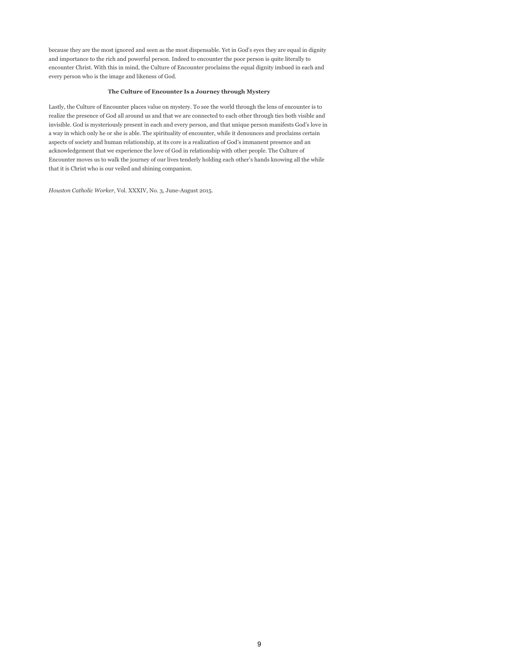because they are the most ignored and seen as the most dispensable. Yet in God's eyes they are equal in dignity and importance to the rich and powerful person. Indeed to encounter the poor person is quite literally to encounter Christ. With this in mind, the Culture of Encounter proclaims the equal dignity imbued in each and every person who is the image and likeness of God.

#### **The Culture of Encounter Is a Journey through Mystery**

Lastly, the Culture of Encounter places value on mystery. To see the world through the lens of encounter is to realize the presence of God all around us and that we are connected to each other through ties both visible and invisible. God is mysteriously present in each and every person, and that unique person manifests God's love in a way in which only he or she is able. The spirituality of encounter, while it denounces and proclaims certain aspects of society and human relationship, at its core is a realization of God's immanent presence and an acknowledgement that we experience the love of God in relationship with other people. The Culture of Encounter moves us to walk the journey of our lives tenderly holding each other's hands knowing all the while that it is Christ who is our veiled and shining companion.

*Houston Catholic Worker*, Vol. XXXIV, No. 3, June-August 2015.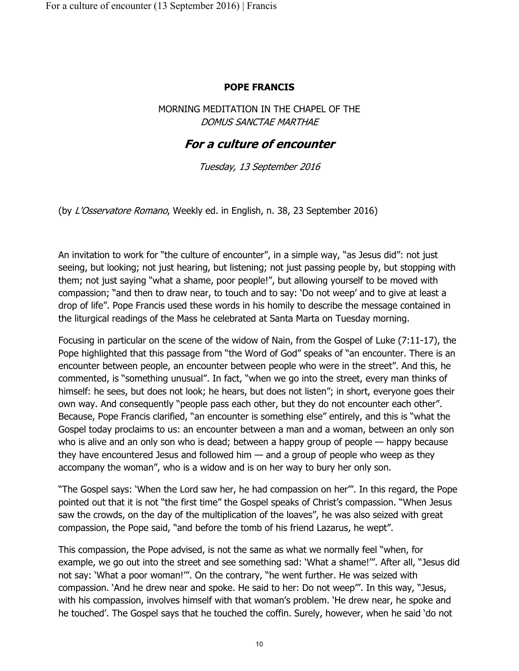#### **POPE FRANCIS**

MORNING MEDITATION IN THE CHAPEL OF THE DOMUS SANCTAE MARTHAE

## **For a culture of encounter**

Tuesday, 13 September 2016

(by L'Osservatore Romano, Weekly ed. in English, n. 38, 23 September 2016)

An invitation to work for "the culture of encounter", in a simple way, "as Jesus did": not just seeing, but looking; not just hearing, but listening; not just passing people by, but stopping with them; not just saying "what a shame, poor people!", but allowing yourself to be moved with compassion; "and then to draw near, to touch and to say: 'Do not weep' and to give at least a drop of life". Pope Francis used these words in his homily to describe the message contained in the liturgical readings of the Mass he celebrated at Santa Marta on Tuesday morning.

Focusing in particular on the scene of the widow of Nain, from the Gospel of Luke (7:11-17), the Pope highlighted that this passage from "the Word of God" speaks of "an encounter. There is an encounter between people, an encounter between people who were in the street". And this, he commented, is "something unusual". In fact, "when we go into the street, every man thinks of himself: he sees, but does not look; he hears, but does not listen"; in short, everyone goes their own way. And consequently "people pass each other, but they do not encounter each other". Because, Pope Francis clarified, "an encounter is something else" entirely, and this is "what the Gospel today proclaims to us: an encounter between a man and a woman, between an only son who is alive and an only son who is dead; between a happy group of people — happy because they have encountered Jesus and followed him  $-$  and a group of people who weep as they accompany the woman", who is a widow and is on her way to bury her only son.

"The Gospel says: 'When the Lord saw her, he had compassion on her'". In this regard, the Pope pointed out that it is not "the first time" the Gospel speaks of Christ's compassion. "When Jesus saw the crowds, on the day of the multiplication of the loaves", he was also seized with great compassion, the Pope said, "and before the tomb of his friend Lazarus, he wept".

This compassion, the Pope advised, is not the same as what we normally feel "when, for example, we go out into the street and see something sad: 'What a shame!'". After all, "Jesus did not say: 'What a poor woman!'". On the contrary, "he went further. He was seized with compassion. 'And he drew near and spoke. He said to her: Do not weep'". In this way, "Jesus, with his compassion, involves himself with that woman's problem. 'He drew near, he spoke and he touched'. The Gospel says that he touched the coffin. Surely, however, when he said 'do not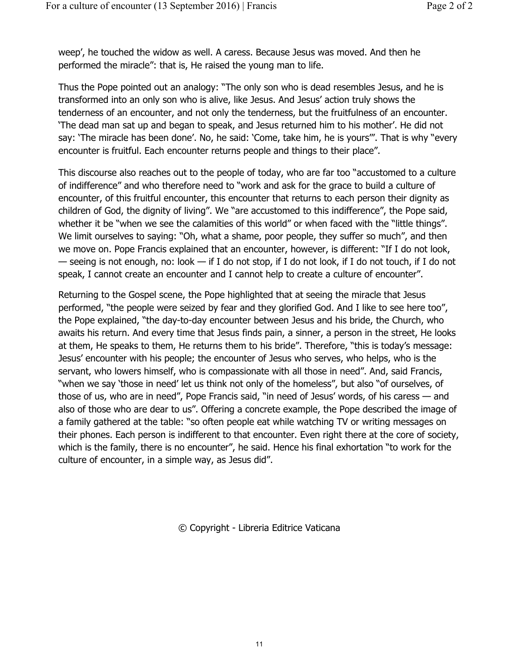weep', he touched the widow as well. A caress. Because Jesus was moved. And then he performed the miracle": that is, He raised the young man to life.

Thus the Pope pointed out an analogy: "The only son who is dead resembles Jesus, and he is transformed into an only son who is alive, like Jesus. And Jesus' action truly shows the tenderness of an encounter, and not only the tenderness, but the fruitfulness of an encounter. 'The dead man sat up and began to speak, and Jesus returned him to his mother'. He did not say: 'The miracle has been done'. No, he said: 'Come, take him, he is yours'". That is why "every encounter is fruitful. Each encounter returns people and things to their place".

This discourse also reaches out to the people of today, who are far too "accustomed to a culture of indifference" and who therefore need to "work and ask for the grace to build a culture of encounter, of this fruitful encounter, this encounter that returns to each person their dignity as children of God, the dignity of living". We "are accustomed to this indifference", the Pope said, whether it be "when we see the calamities of this world" or when faced with the "little things". We limit ourselves to saying: "Oh, what a shame, poor people, they suffer so much", and then we move on. Pope Francis explained that an encounter, however, is different: "If I do not look, — seeing is not enough, no: look — if I do not stop, if I do not look, if I do not touch, if I do not speak, I cannot create an encounter and I cannot help to create a culture of encounter".

Returning to the Gospel scene, the Pope highlighted that at seeing the miracle that Jesus performed, "the people were seized by fear and they glorified God. And I like to see here too", the Pope explained, "the day-to-day encounter between Jesus and his bride, the Church, who awaits his return. And every time that Jesus finds pain, a sinner, a person in the street, He looks at them, He speaks to them, He returns them to his bride". Therefore, "this is today's message: Jesus' encounter with his people; the encounter of Jesus who serves, who helps, who is the servant, who lowers himself, who is compassionate with all those in need". And, said Francis, "when we say 'those in need' let us think not only of the homeless", but also "of ourselves, of those of us, who are in need", Pope Francis said, "in need of Jesus' words, of his caress — and also of those who are dear to us". Offering a concrete example, the Pope described the image of a family gathered at the table: "so often people eat while watching TV or writing messages on their phones. Each person is indifferent to that encounter. Even right there at the core of society, which is the family, there is no encounter", he said. Hence his final exhortation "to work for the culture of encounter, in a simple way, as Jesus did".

© Copyright - Libreria Editrice Vaticana